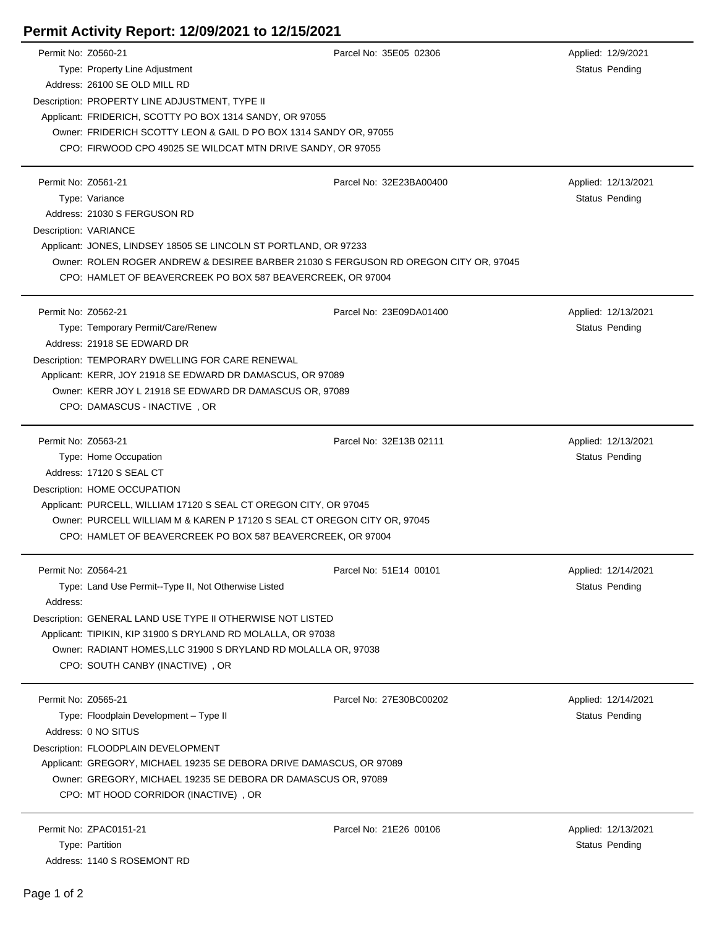## **Permit Activity Report: 12/09/2021 to 12/15/2021**

| Permit No: Z0560-21 |                                                                                      | Parcel No: 35E05 02306  | Applied: 12/9/2021                    |  |  |
|---------------------|--------------------------------------------------------------------------------------|-------------------------|---------------------------------------|--|--|
|                     | Type: Property Line Adjustment                                                       |                         | Status Pending                        |  |  |
|                     | Address: 26100 SE OLD MILL RD                                                        |                         |                                       |  |  |
|                     | Description: PROPERTY LINE ADJUSTMENT, TYPE II                                       |                         |                                       |  |  |
|                     | Applicant: FRIDERICH, SCOTTY PO BOX 1314 SANDY, OR 97055                             |                         |                                       |  |  |
|                     | Owner: FRIDERICH SCOTTY LEON & GAIL D PO BOX 1314 SANDY OR, 97055                    |                         |                                       |  |  |
|                     | CPO: FIRWOOD CPO 49025 SE WILDCAT MTN DRIVE SANDY, OR 97055                          |                         |                                       |  |  |
|                     |                                                                                      |                         |                                       |  |  |
| Permit No: Z0561-21 |                                                                                      | Parcel No: 32E23BA00400 | Applied: 12/13/2021                   |  |  |
|                     | Type: Variance                                                                       |                         | <b>Status Pending</b>                 |  |  |
|                     | Address: 21030 S FERGUSON RD                                                         |                         |                                       |  |  |
|                     | Description: VARIANCE                                                                |                         |                                       |  |  |
|                     | Applicant: JONES, LINDSEY 18505 SE LINCOLN ST PORTLAND, OR 97233                     |                         |                                       |  |  |
|                     | Owner: ROLEN ROGER ANDREW & DESIREE BARBER 21030 S FERGUSON RD OREGON CITY OR, 97045 |                         |                                       |  |  |
|                     | CPO: HAMLET OF BEAVERCREEK PO BOX 587 BEAVERCREEK, OR 97004                          |                         |                                       |  |  |
|                     |                                                                                      |                         |                                       |  |  |
| Permit No: Z0562-21 |                                                                                      | Parcel No: 23E09DA01400 | Applied: 12/13/2021                   |  |  |
|                     | Type: Temporary Permit/Care/Renew                                                    |                         | Status Pending                        |  |  |
|                     | Address: 21918 SE EDWARD DR                                                          |                         |                                       |  |  |
|                     | Description: TEMPORARY DWELLING FOR CARE RENEWAL                                     |                         |                                       |  |  |
|                     | Applicant: KERR, JOY 21918 SE EDWARD DR DAMASCUS, OR 97089                           |                         |                                       |  |  |
|                     | Owner: KERR JOY L 21918 SE EDWARD DR DAMASCUS OR, 97089                              |                         |                                       |  |  |
|                     | CPO: DAMASCUS - INACTIVE, OR                                                         |                         |                                       |  |  |
|                     |                                                                                      |                         |                                       |  |  |
| Permit No: Z0563-21 |                                                                                      | Parcel No: 32E13B 02111 | Applied: 12/13/2021                   |  |  |
|                     | Type: Home Occupation                                                                |                         | Status Pending                        |  |  |
|                     | Address: 17120 S SEAL CT                                                             |                         |                                       |  |  |
|                     | Description: HOME OCCUPATION                                                         |                         |                                       |  |  |
|                     | Applicant: PURCELL, WILLIAM 17120 S SEAL CT OREGON CITY, OR 97045                    |                         |                                       |  |  |
|                     | Owner: PURCELL WILLIAM M & KAREN P 17120 S SEAL CT OREGON CITY OR, 97045             |                         |                                       |  |  |
|                     | CPO: HAMLET OF BEAVERCREEK PO BOX 587 BEAVERCREEK, OR 97004                          |                         |                                       |  |  |
| Permit No: Z0564-21 |                                                                                      |                         |                                       |  |  |
|                     | Type: Land Use Permit--Type II, Not Otherwise Listed                                 | Parcel No: 51E14 00101  | Applied: 12/14/2021<br>Status Pending |  |  |
| Address:            |                                                                                      |                         |                                       |  |  |
|                     |                                                                                      |                         |                                       |  |  |
|                     | Description: GENERAL LAND USE TYPE II OTHERWISE NOT LISTED                           |                         |                                       |  |  |
|                     | Applicant: TIPIKIN, KIP 31900 S DRYLAND RD MOLALLA, OR 97038                         |                         |                                       |  |  |
|                     | Owner: RADIANT HOMES, LLC 31900 S DRYLAND RD MOLALLA OR, 97038                       |                         |                                       |  |  |
|                     | CPO: SOUTH CANBY (INACTIVE), OR                                                      |                         |                                       |  |  |
| Permit No: Z0565-21 |                                                                                      | Parcel No: 27E30BC00202 | Applied: 12/14/2021                   |  |  |
|                     | Type: Floodplain Development - Type II                                               |                         | Status Pending                        |  |  |
|                     | Address: 0 NO SITUS                                                                  |                         |                                       |  |  |
|                     | Description: FLOODPLAIN DEVELOPMENT                                                  |                         |                                       |  |  |
|                     | Applicant: GREGORY, MICHAEL 19235 SE DEBORA DRIVE DAMASCUS, OR 97089                 |                         |                                       |  |  |
|                     | Owner: GREGORY, MICHAEL 19235 SE DEBORA DR DAMASCUS OR, 97089                        |                         |                                       |  |  |
|                     | CPO: MT HOOD CORRIDOR (INACTIVE), OR                                                 |                         |                                       |  |  |
|                     |                                                                                      |                         |                                       |  |  |
|                     | Permit No: ZPAC0151-21                                                               | Parcel No: 21E26 00106  | Applied: 12/13/2021                   |  |  |
|                     | Type: Partition                                                                      |                         | Status Pending                        |  |  |
|                     | Address: 1140 S ROSEMONT RD                                                          |                         |                                       |  |  |